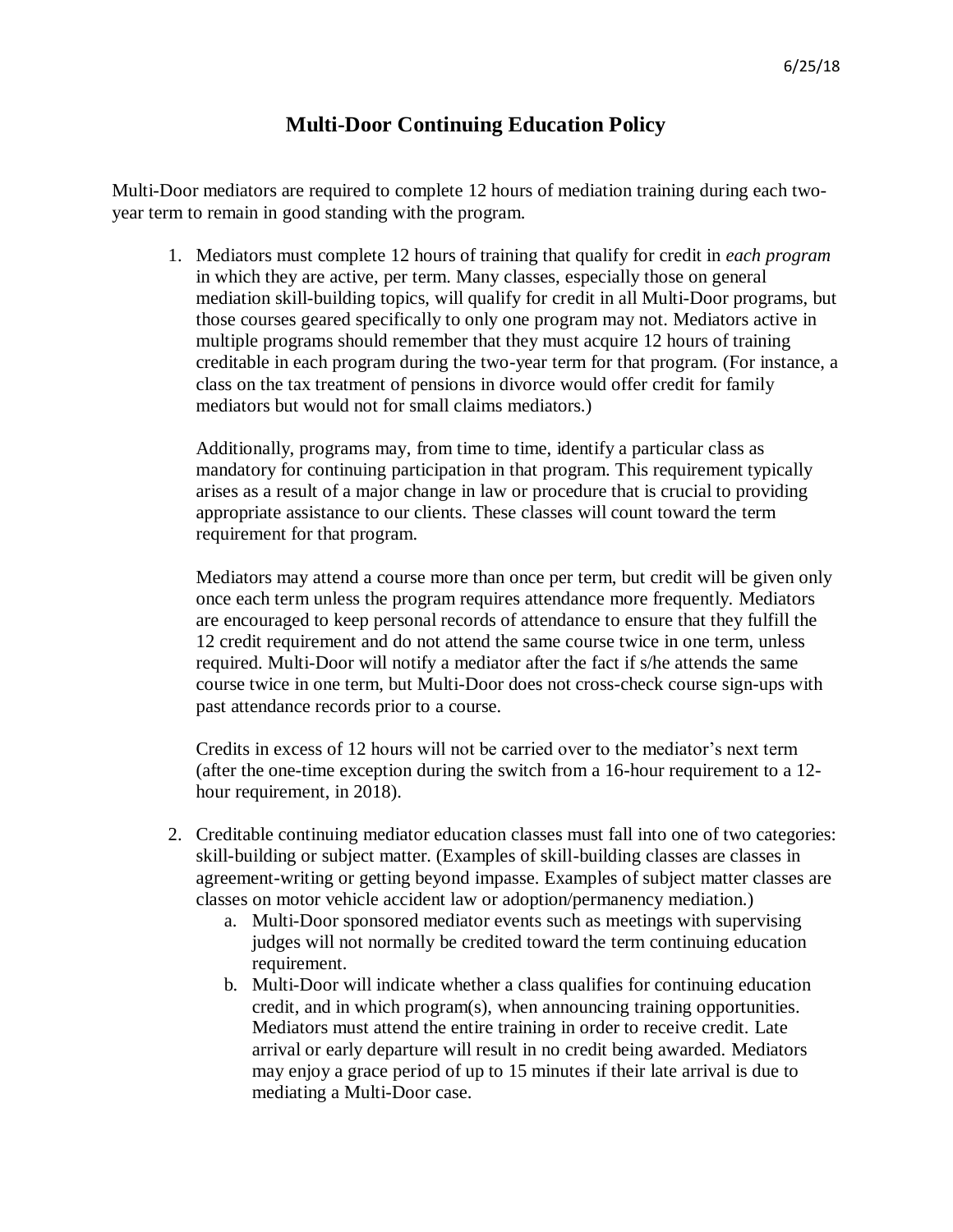## **Multi-Door Continuing Education Policy**

Multi-Door mediators are required to complete 12 hours of mediation training during each twoyear term to remain in good standing with the program.

1. Mediators must complete 12 hours of training that qualify for credit in *each program* in which they are active, per term. Many classes, especially those on general mediation skill-building topics, will qualify for credit in all Multi-Door programs, but those courses geared specifically to only one program may not. Mediators active in multiple programs should remember that they must acquire 12 hours of training creditable in each program during the two-year term for that program. (For instance, a class on the tax treatment of pensions in divorce would offer credit for family mediators but would not for small claims mediators.)

Additionally, programs may, from time to time, identify a particular class as mandatory for continuing participation in that program. This requirement typically arises as a result of a major change in law or procedure that is crucial to providing appropriate assistance to our clients. These classes will count toward the term requirement for that program.

Mediators may attend a course more than once per term, but credit will be given only once each term unless the program requires attendance more frequently. Mediators are encouraged to keep personal records of attendance to ensure that they fulfill the 12 credit requirement and do not attend the same course twice in one term, unless required. Multi-Door will notify a mediator after the fact if s/he attends the same course twice in one term, but Multi-Door does not cross-check course sign-ups with past attendance records prior to a course.

Credits in excess of 12 hours will not be carried over to the mediator's next term (after the one-time exception during the switch from a 16-hour requirement to a 12 hour requirement, in 2018).

- 2. Creditable continuing mediator education classes must fall into one of two categories: skill-building or subject matter. (Examples of skill-building classes are classes in agreement-writing or getting beyond impasse. Examples of subject matter classes are classes on motor vehicle accident law or adoption/permanency mediation.)
	- a. Multi-Door sponsored mediator events such as meetings with supervising judges will not normally be credited toward the term continuing education requirement.
	- b. Multi-Door will indicate whether a class qualifies for continuing education credit, and in which program(s), when announcing training opportunities. Mediators must attend the entire training in order to receive credit. Late arrival or early departure will result in no credit being awarded. Mediators may enjoy a grace period of up to 15 minutes if their late arrival is due to mediating a Multi-Door case.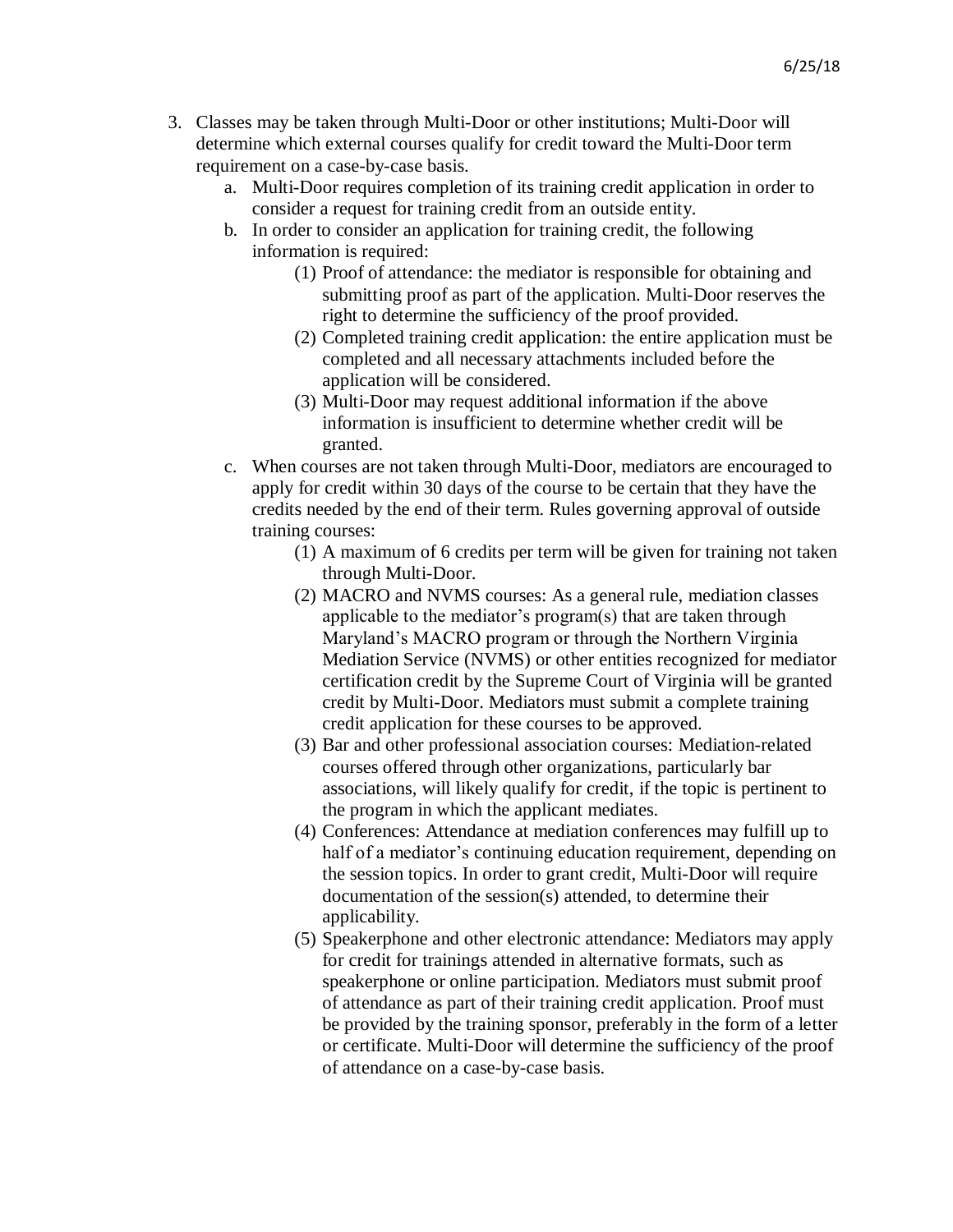- 3. Classes may be taken through Multi-Door or other institutions; Multi-Door will determine which external courses qualify for credit toward the Multi-Door term requirement on a case-by-case basis.
	- a. Multi-Door requires completion of its training credit application in order to consider a request for training credit from an outside entity.
	- b. In order to consider an application for training credit, the following information is required:
		- (1) Proof of attendance: the mediator is responsible for obtaining and submitting proof as part of the application. Multi-Door reserves the right to determine the sufficiency of the proof provided.
		- (2) Completed training credit application: the entire application must be completed and all necessary attachments included before the application will be considered.
		- (3) Multi-Door may request additional information if the above information is insufficient to determine whether credit will be granted.
	- c. When courses are not taken through Multi-Door, mediators are encouraged to apply for credit within 30 days of the course to be certain that they have the credits needed by the end of their term. Rules governing approval of outside training courses:
		- (1) A maximum of 6 credits per term will be given for training not taken through Multi-Door.
		- (2) MACRO and NVMS courses: As a general rule, mediation classes applicable to the mediator's program(s) that are taken through Maryland's MACRO program or through the Northern Virginia Mediation Service (NVMS) or other entities recognized for mediator certification credit by the Supreme Court of Virginia will be granted credit by Multi-Door. Mediators must submit a complete training credit application for these courses to be approved.
		- (3) Bar and other professional association courses: Mediation-related courses offered through other organizations, particularly bar associations, will likely qualify for credit, if the topic is pertinent to the program in which the applicant mediates.
		- (4) Conferences: Attendance at mediation conferences may fulfill up to half of a mediator's continuing education requirement, depending on the session topics. In order to grant credit, Multi-Door will require documentation of the session(s) attended, to determine their applicability.
		- (5) Speakerphone and other electronic attendance: Mediators may apply for credit for trainings attended in alternative formats, such as speakerphone or online participation. Mediators must submit proof of attendance as part of their training credit application. Proof must be provided by the training sponsor, preferably in the form of a letter or certificate. Multi-Door will determine the sufficiency of the proof of attendance on a case-by-case basis.